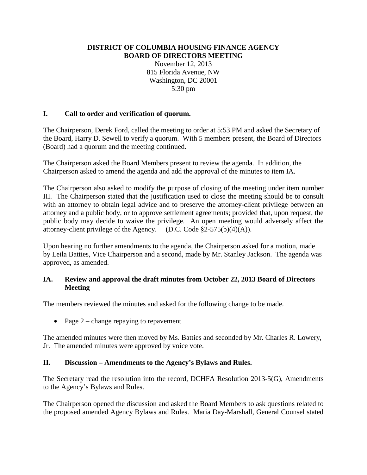#### **DISTRICT OF COLUMBIA HOUSING FINANCE AGENCY BOARD OF DIRECTORS MEETING**

November 12, 2013 815 Florida Avenue, NW Washington, DC 20001 5:30 pm

# **I. Call to order and verification of quorum.**

The Chairperson, Derek Ford, called the meeting to order at 5:53 PM and asked the Secretary of the Board, Harry D. Sewell to verify a quorum. With 5 members present, the Board of Directors (Board) had a quorum and the meeting continued.

The Chairperson asked the Board Members present to review the agenda. In addition, the Chairperson asked to amend the agenda and add the approval of the minutes to item IA.

The Chairperson also asked to modify the purpose of closing of the meeting under item number III. The Chairperson stated that the justification used to close the meeting should be to consult with an attorney to obtain legal advice and to preserve the attorney-client privilege between an attorney and a public body, or to approve settlement agreements; provided that, upon request, the public body may decide to waive the privilege. An open meeting would adversely affect the attorney-client privilege of the Agency. (D.C. Code  $\S2-575(b)(4)(A)$ ).

Upon hearing no further amendments to the agenda, the Chairperson asked for a motion, made by Leila Batties, Vice Chairperson and a second, made by Mr. Stanley Jackson. The agenda was approved, as amended.

## **IA. Review and approval the draft minutes from October 22, 2013 Board of Directors Meeting**

The members reviewed the minutes and asked for the following change to be made.

• Page  $2$  – change repaying to repavement

The amended minutes were then moved by Ms. Batties and seconded by Mr. Charles R. Lowery, Jr. The amended minutes were approved by voice vote.

#### **II. Discussion – Amendments to the Agency's Bylaws and Rules.**

The Secretary read the resolution into the record, DCHFA Resolution 2013-5(G), Amendments to the Agency's Bylaws and Rules.

The Chairperson opened the discussion and asked the Board Members to ask questions related to the proposed amended Agency Bylaws and Rules. Maria Day-Marshall, General Counsel stated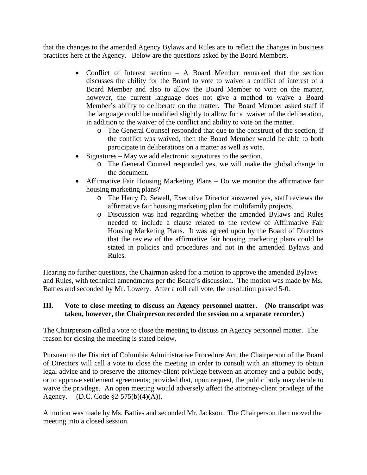that the changes to the amended Agency Bylaws and Rules are to reflect the changes in business practices here at the Agency. Below are the questions asked by the Board Members.

- Conflict of Interest section A Board Member remarked that the section discusses the ability for the Board to vote to waiver a conflict of interest of a Board Member and also to allow the Board Member to vote on the matter, however, the current language does not give a method to waive a Board Member's ability to deliberate on the matter. The Board Member asked staff if the language could be modified slightly to allow for a waiver of the deliberation, in addition to the waiver of the conflict and ability to vote on the matter.
	- o The General Counsel responded that due to the construct of the section, if the conflict was waived, then the Board Member would be able to both participate in deliberations on a matter as well as vote.
- Signatures May we add electronic signatures to the section.
	- o The General Counsel responded yes, we will make the global change in the document.
- Affirmative Fair Housing Marketing Plans Do we monitor the affirmative fair housing marketing plans?
	- o The Harry D. Sewell, Executive Director answered yes, staff reviews the affirmative fair housing marketing plan for multifamily projects.
	- o Discussion was had regarding whether the amended Bylaws and Rules needed to include a clause related to the review of Affirmative Fair Housing Marketing Plans. It was agreed upon by the Board of Directors that the review of the affirmative fair housing marketing plans could be stated in policies and procedures and not in the amended Bylaws and Rules.

Hearing no further questions, the Chairman asked for a motion to approve the amended Bylaws and Rules, with technical amendments per the Board's discussion. The motion was made by Ms. Batties and seconded by Mr. Lowery. After a roll call vote, the resolution passed 5-0.

## **III. Vote to close meeting to discuss an Agency personnel matter. (No transcript was taken, however, the Chairperson recorded the session on a separate recorder.)**

The Chairperson called a vote to close the meeting to discuss an Agency personnel matter. The reason for closing the meeting is stated below.

Pursuant to the District of Columbia Administrative Procedure Act, the Chairperson of the Board of Directors will call a vote to close the meeting in order to consult with an attorney to obtain legal advice and to preserve the attorney-client privilege between an attorney and a public body, or to approve settlement agreements; provided that, upon request, the public body may decide to waive the privilege. An open meeting would adversely affect the attorney-client privilege of the Agency. (D.C. Code §2-575(b)(4)(A)).

A motion was made by Ms. Batties and seconded Mr. Jackson. The Chairperson then moved the meeting into a closed session.